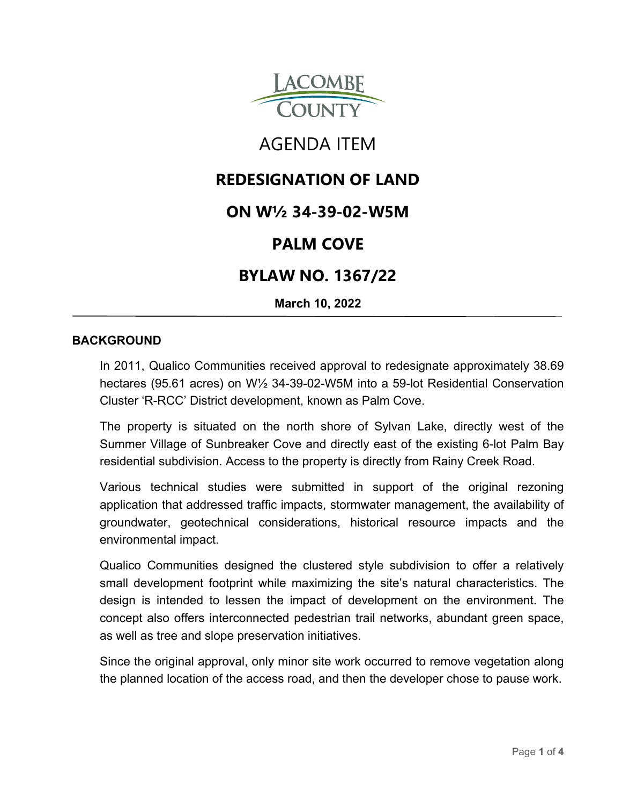

# AGENDA ITEM

# **REDESIGNATION OF LAND**

# **ON W½ 34-39-02-W5M**

# **PALM COVE**

# **BYLAW NO. 1367/22**

**March 10, 2022**

## **BACKGROUND**

In 2011, Qualico Communities received approval to redesignate approximately 38.69 hectares (95.61 acres) on W½ 34-39-02-W5M into a 59-lot Residential Conservation Cluster 'R-RCC' District development, known as Palm Cove.

The property is situated on the north shore of Sylvan Lake, directly west of the Summer Village of Sunbreaker Cove and directly east of the existing 6-lot Palm Bay residential subdivision. Access to the property is directly from Rainy Creek Road.

Various technical studies were submitted in support of the original rezoning application that addressed traffic impacts, stormwater management, the availability of groundwater, geotechnical considerations, historical resource impacts and the environmental impact.

Qualico Communities designed the clustered style subdivision to offer a relatively small development footprint while maximizing the site's natural characteristics. The design is intended to lessen the impact of development on the environment. The concept also offers interconnected pedestrian trail networks, abundant green space, as well as tree and slope preservation initiatives.

Since the original approval, only minor site work occurred to remove vegetation along the planned location of the access road, and then the developer chose to pause work.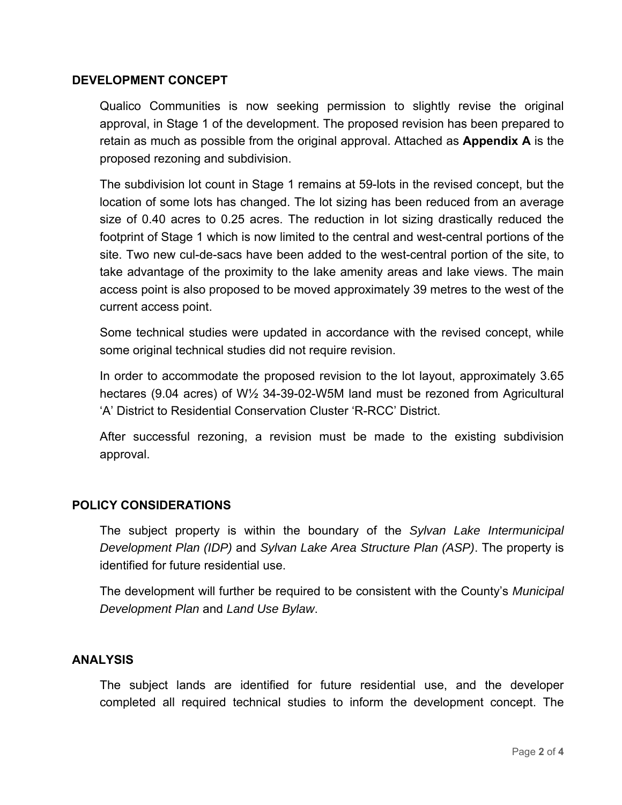## **DEVELOPMENT CONCEPT**

Qualico Communities is now seeking permission to slightly revise the original approval, in Stage 1 of the development. The proposed revision has been prepared to retain as much as possible from the original approval. Attached as **Appendix A** is the proposed rezoning and subdivision.

The subdivision lot count in Stage 1 remains at 59-lots in the revised concept, but the location of some lots has changed. The lot sizing has been reduced from an average size of 0.40 acres to 0.25 acres. The reduction in lot sizing drastically reduced the footprint of Stage 1 which is now limited to the central and west-central portions of the site. Two new cul-de-sacs have been added to the west-central portion of the site, to take advantage of the proximity to the lake amenity areas and lake views. The main access point is also proposed to be moved approximately 39 metres to the west of the current access point.

Some technical studies were updated in accordance with the revised concept, while some original technical studies did not require revision.

In order to accommodate the proposed revision to the lot layout, approximately 3.65 hectares (9.04 acres) of W½ 34-39-02-W5M land must be rezoned from Agricultural 'A' District to Residential Conservation Cluster 'R-RCC' District.

After successful rezoning, a revision must be made to the existing subdivision approval.

#### **POLICY CONSIDERATIONS**

The subject property is within the boundary of the *Sylvan Lake Intermunicipal Development Plan (IDP)* and *Sylvan Lake Area Structure Plan (ASP)*. The property is identified for future residential use.

The development will further be required to be consistent with the County's *Municipal Development Plan* and *Land Use Bylaw*.

#### **ANALYSIS**

The subject lands are identified for future residential use, and the developer completed all required technical studies to inform the development concept. The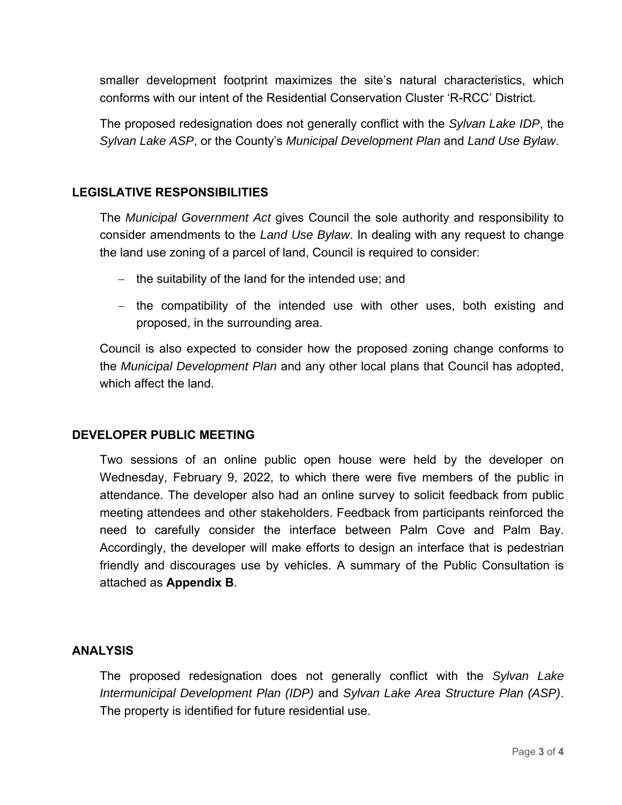smaller development footprint maximizes the site's natural characteristics, which conforms with our intent of the Residential Conservation Cluster 'R-RCC' District.

The proposed redesignation does not generally conflict with the *Sylvan Lake IDP*, the *Sylvan Lake ASP*, or the County's *Municipal Development Plan* and *Land Use Bylaw*.

## **LEGISLATIVE RESPONSIBILITIES**

The *Municipal Government Act* gives Council the sole authority and responsibility to consider amendments to the *Land Use Bylaw*. In dealing with any request to change the land use zoning of a parcel of land, Council is required to consider:

- $-$  the suitability of the land for the intended use; and
- $-$  the compatibility of the intended use with other uses, both existing and proposed, in the surrounding area.

Council is also expected to consider how the proposed zoning change conforms to the *Municipal Development Plan* and any other local plans that Council has adopted, which affect the land.

## **DEVELOPER PUBLIC MEETING**

Two sessions of an online public open house were held by the developer on Wednesday, February 9, 2022, to which there were five members of the public in attendance. The developer also had an online survey to solicit feedback from public meeting attendees and other stakeholders. Feedback from participants reinforced the need to carefully consider the interface between Palm Cove and Palm Bay. Accordingly, the developer will make efforts to design an interface that is pedestrian friendly and discourages use by vehicles. A summary of the Public Consultation is attached as **Appendix B**.

## **ANALYSIS**

The proposed redesignation does not generally conflict with the *Sylvan Lake Intermunicipal Development Plan (IDP)* and *Sylvan Lake Area Structure Plan (ASP)*. The property is identified for future residential use.